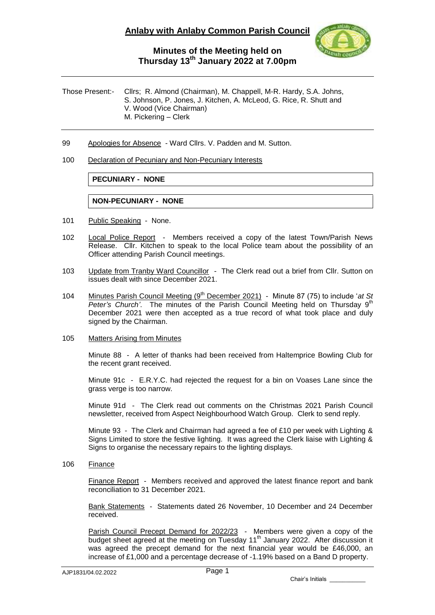

## **Minutes of the Meeting held on Thursday 13th January 2022 at 7.00pm**

Those Present:- Cllrs; R. Almond (Chairman), M. Chappell, M-R. Hardy, S.A. Johns, S. Johnson, P. Jones, J. Kitchen, A. McLeod, G. Rice, R. Shutt and V. Wood (Vice Chairman) M. Pickering – Clerk

- 99 Apologies for Absence Ward Cllrs. V. Padden and M. Sutton.
- 100 Declaration of Pecuniary and Non-Pecuniary Interests

### **PECUNIARY - NONE**

#### **NON-PECUNIARY - NONE**

- 101 Public Speaking None.
- 102 Local Police Report Members received a copy of the latest Town/Parish News Release. Cllr. Kitchen to speak to the local Police team about the possibility of an Officer attending Parish Council meetings.
- 103 Update from Tranby Ward Councillor The Clerk read out a brief from Cllr. Sutton on issues dealt with since December 2021.
- 104 Minutes Parish Council Meeting (9<sup>th</sup> December 2021) Minute 87 (75) to include 'at St Peter's Church'. The minutes of the Parish Council Meeting held on Thursday 9<sup>th</sup> December 2021 were then accepted as a true record of what took place and duly signed by the Chairman.
- 105 Matters Arising from Minutes

Minute 88 - A letter of thanks had been received from Haltemprice Bowling Club for the recent grant received.

Minute 91c - E.R.Y.C. had rejected the request for a bin on Voases Lane since the grass verge is too narrow.

Minute 91d - The Clerk read out comments on the Christmas 2021 Parish Council newsletter, received from Aspect Neighbourhood Watch Group. Clerk to send reply.

Minute 93 - The Clerk and Chairman had agreed a fee of £10 per week with Lighting & Signs Limited to store the festive lighting. It was agreed the Clerk liaise with Lighting & Signs to organise the necessary repairs to the lighting displays.

106 Finance

Finance Report - Members received and approved the latest finance report and bank reconciliation to 31 December 2021.

Bank Statements - Statements dated 26 November, 10 December and 24 December received.

Parish Council Precept Demand for 2022/23 - Members were given a copy of the budget sheet agreed at the meeting on Tuesday 11<sup>th</sup> January 2022. After discussion it was agreed the precept demand for the next financial year would be £46,000, an increase of £1,000 and a percentage decrease of -1.19% based on a Band D property.

Chair's Initials \_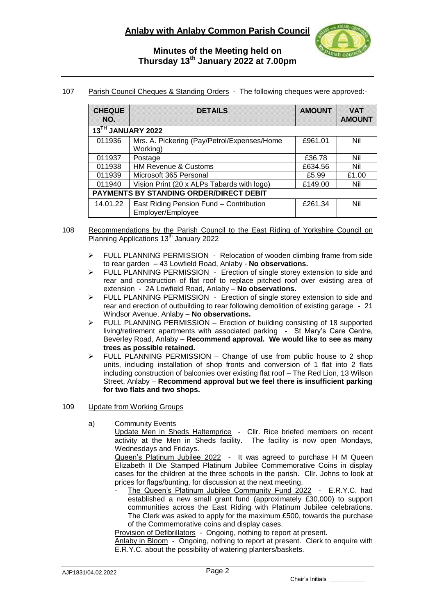

# **Minutes of the Meeting held on Thursday 13th January 2022 at 7.00pm**

## 107 Parish Council Cheques & Standing Orders - The following cheques were approved:-

| <b>CHEQUE</b><br>NO.                           | <b>DETAILS</b>                                               | <b>AMOUNT</b> | <b>VAT</b><br><b>AMOUNT</b> |
|------------------------------------------------|--------------------------------------------------------------|---------------|-----------------------------|
| 13TH JANUARY 2022                              |                                                              |               |                             |
| 011936                                         | Mrs. A. Pickering (Pay/Petrol/Expenses/Home<br>Working)      | £961.01       | Nil                         |
| 011937                                         | Postage                                                      | £36.78        | Nil                         |
| 011938                                         | <b>HM Revenue &amp; Customs</b>                              | £634.56       | Nil                         |
| 011939                                         | Microsoft 365 Personal                                       | £5.99         | £1.00                       |
| 011940                                         | Vision Print (20 x ALPs Tabards with logo)                   | £149.00       | Nil                         |
| <b>PAYMENTS BY STANDING ORDER/DIRECT DEBIT</b> |                                                              |               |                             |
| 14.01.22                                       | East Riding Pension Fund - Contribution<br>Employer/Employee | £261.34       | Nil                         |

- 108 Recommendations by the Parish Council to the East Riding of Yorkshire Council on Planning Applications 13<sup>th</sup> January 2022
	- FULL PLANNING PERMISSION Relocation of wooden climbing frame from side to rear garden – 43 Lowfield Road, Anlaby - **No observations.**
	- $\triangleright$  FULL PLANNING PERMISSION Erection of single storey extension to side and rear and construction of flat roof to replace pitched roof over existing area of extension - 2A Lowfield Road, Anlaby – **No observations.**
	- $\triangleright$  FULL PLANNING PERMISSION Erection of single storey extension to side and rear and erection of outbuilding to rear following demolition of existing garage - 21 Windsor Avenue, Anlaby – **No observations.**
	- $\triangleright$  FULL PLANNING PERMISSION Erection of building consisting of 18 supported living/retirement apartments with associated parking - St Mary's Care Centre, Beverley Road, Anlaby – **Recommend approval. We would like to see as many trees as possible retained.**
	- $\triangleright$  FULL PLANNING PERMISSION Change of use from public house to 2 shop units, including installation of shop fronts and conversion of 1 flat into 2 flats including construction of balconies over existing flat roof – The Red Lion, 13 Wilson Street, Anlaby – **Recommend approval but we feel there is insufficient parking for two flats and two shops.**
- 109 Update from Working Groups
	- a) Community Events
		- Update Men in Sheds Haltemprice Cllr. Rice briefed members on recent activity at the Men in Sheds facility. The facility is now open Mondays, Wednesdays and Fridays.

Queen's Platinum Jubilee 2022 - It was agreed to purchase H M Queen Elizabeth II Die Stamped Platinum Jubilee Commemorative Coins in display cases for the children at the three schools in the parish. Cllr. Johns to look at prices for flags/bunting, for discussion at the next meeting.

The Queen's Platinum Jubilee Community Fund 2022 - E.R.Y.C. had established a new small grant fund (approximately £30,000) to support communities across the East Riding with Platinum Jubilee celebrations. The Clerk was asked to apply for the maximum £500, towards the purchase of the Commemorative coins and display cases.

Provision of Defibrillators - Ongoing, nothing to report at present.

Anlaby in Bloom - Ongoing, nothing to report at present. Clerk to enquire with E.R.Y.C. about the possibility of watering planters/baskets.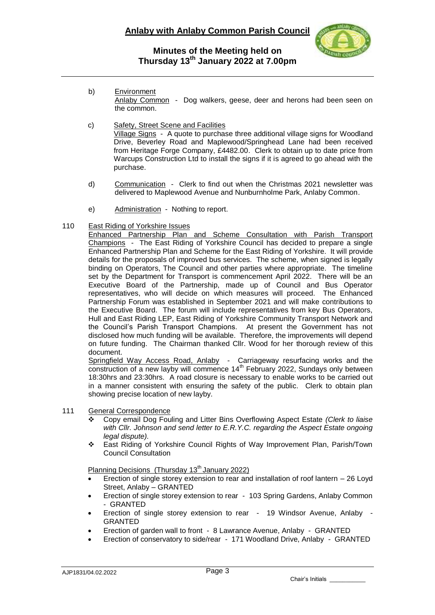

## **Minutes of the Meeting held on Thursday 13th January 2022 at 7.00pm**

- b) Environment Anlaby Common - Dog walkers, geese, deer and herons had been seen on the common.
- c) Safety, Street Scene and Facilities Village Signs - A quote to purchase three additional village signs for Woodland Drive, Beverley Road and Maplewood/Springhead Lane had been received from Heritage Forge Company, £4482.00. Clerk to obtain up to date price from Warcups Construction Ltd to install the signs if it is agreed to go ahead with the purchase.
- d) Communication Clerk to find out when the Christmas 2021 newsletter was delivered to Maplewood Avenue and Nunburnholme Park, Anlaby Common.
- e) Administration Nothing to report.

### 110 East Riding of Yorkshire Issues

Enhanced Partnership Plan and Scheme Consultation with Parish Transport Champions - The East Riding of Yorkshire Council has decided to prepare a single Enhanced Partnership Plan and Scheme for the East Riding of Yorkshire. It will provide details for the proposals of improved bus services. The scheme, when signed is legally binding on Operators, The Council and other parties where appropriate. The timeline set by the Department for Transport is commencement April 2022. There will be an Executive Board of the Partnership, made up of Council and Bus Operator representatives, who will decide on which measures will proceed. The Enhanced Partnership Forum was established in September 2021 and will make contributions to the Executive Board. The forum will include representatives from key Bus Operators, Hull and East Riding LEP, East Riding of Yorkshire Community Transport Network and the Council's Parish Transport Champions. At present the Government has not disclosed how much funding will be available. Therefore, the improvements will depend on future funding. The Chairman thanked Cllr. Wood for her thorough review of this document.

Springfield Way Access Road, Anlaby - Carriageway resurfacing works and the  $\overline{\text{construction of a new layout}}$  will commence 14<sup>th</sup> February 2022, Sundays only between 18:30hrs and 23:30hrs. A road closure is necessary to enable works to be carried out in a manner consistent with ensuring the safety of the public. Clerk to obtain plan showing precise location of new layby.

### 111 General Correspondence

- Copy email Dog Fouling and Litter Bins Overflowing Aspect Estate *(Clerk to liaise*  with Cllr. Johnson and send letter to E.R.Y.C. regarding the Aspect Estate ongoing *legal dispute).*
- East Riding of Yorkshire Council Rights of Way Improvement Plan, Parish/Town Council Consultation

Planning Decisions (Thursday 13<sup>th</sup> January 2022)

- Erection of single storey extension to rear and installation of roof lantern 26 Loyd Street, Anlaby – GRANTED
- Erection of single storey extension to rear 103 Spring Gardens, Anlaby Common - GRANTED
- Erection of single storey extension to rear 19 Windsor Avenue, Anlaby GRANTED
- Erection of garden wall to front 8 Lawrance Avenue, Anlaby GRANTED
- Erection of conservatory to side/rear 171 Woodland Drive, Anlaby GRANTED